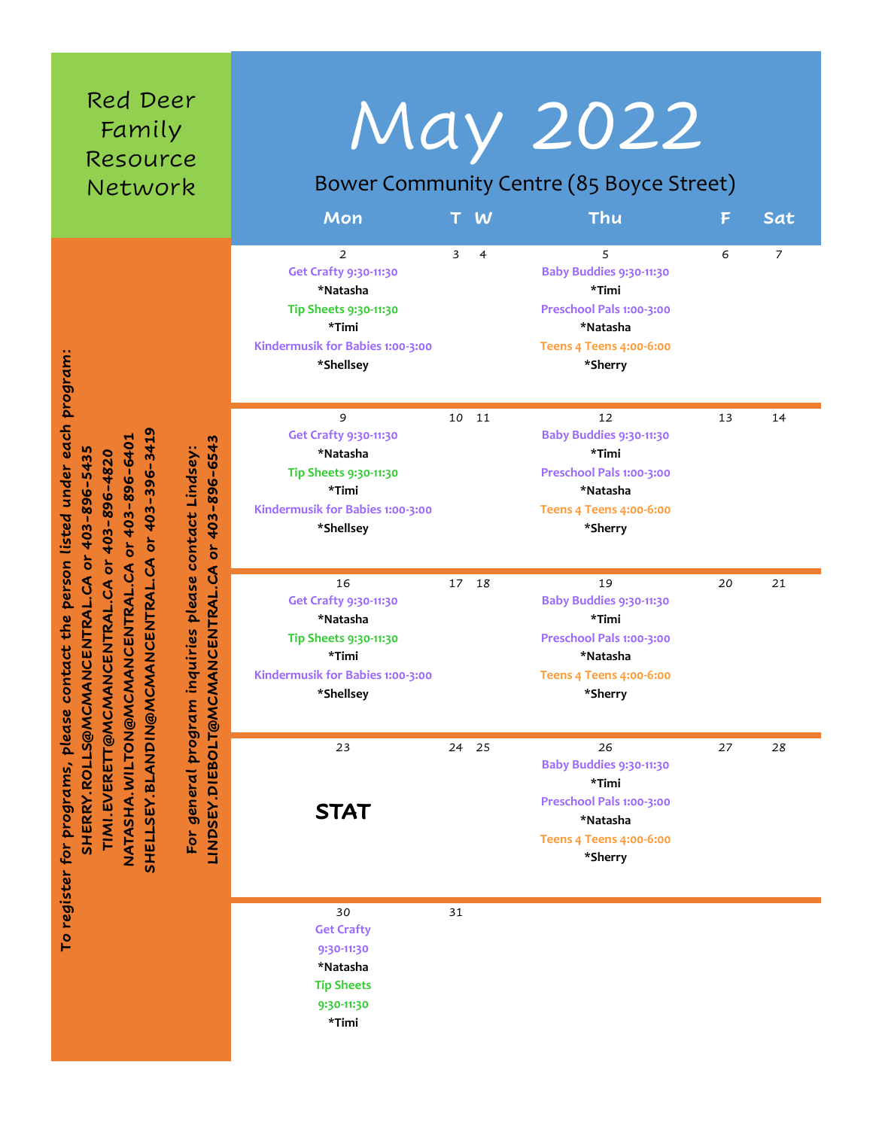| Red Deer<br>Family<br>Resource<br>Network                                                                                                                                                                                                                                                                                                                                                                                                           | Mon                                                                                                                        |       | W              | <b>May 2022</b><br>Bower Community Centre (85 Boyce Street)<br>Thu                                                          | F  | Sat |
|-----------------------------------------------------------------------------------------------------------------------------------------------------------------------------------------------------------------------------------------------------------------------------------------------------------------------------------------------------------------------------------------------------------------------------------------------------|----------------------------------------------------------------------------------------------------------------------------|-------|----------------|-----------------------------------------------------------------------------------------------------------------------------|----|-----|
| person listed under each program:<br>SHELLSEY.BLANDIN@MCMANCENTRAL.CA or 403-396-3419<br>CMANCENTRAL.CA or 403-896-6401<br>For general program inquiries please contact Linasey:<br>INDSEY.DIEBOLT@MCMANCENTRAL.CA or 403-896-6543<br>MANCENTRAL.CA or 403-896-5435<br>or 403-896-4820<br>TIMI.EVERETT@MCMANCENTRAL.CA<br>contact the<br><b>SHERRY.ROLLS@MC</b><br><b>NGNOLINIA.AHSHAN</b><br>LINDSEY.DIEBOLT@M<br>To register for programs, please | 2<br>Get Crafty 9:30-11:30<br>*Natasha<br>Tip Sheets 9:30-11:30<br>*Timi<br>Kindermusik for Babies 1:00-3:00<br>*Shellsey  | 3     | $\overline{4}$ | 5<br>Baby Buddies 9:30-11:30<br>*Timi<br>Preschool Pals 1:00-3:00<br>*Natasha<br><b>Teens 4 Teens 4:00-6:00</b><br>*Sherry  | 6  | 7   |
|                                                                                                                                                                                                                                                                                                                                                                                                                                                     | 9<br>Get Crafty 9:30-11:30<br>*Natasha<br>Tip Sheets 9:30-11:30<br>*Timi<br>Kindermusik for Babies 1:00-3:00<br>*Shellsey  | 10    | 11             | 12<br>Baby Buddies 9:30-11:30<br>*Timi<br>Preschool Pals 1:00-3:00<br>*Natasha<br><b>Teens 4 Teens 4:00-6:00</b><br>*Sherry | 13 | 14  |
|                                                                                                                                                                                                                                                                                                                                                                                                                                                     | 16<br>Get Crafty 9:30-11:30<br>*Natasha<br>Tip Sheets 9:30-11:30<br>*Timi<br>Kindermusik for Babies 1:00-3:00<br>*Shellsey | 17 18 |                | 19<br>Baby Buddies 9:30-11:30<br>*Timi<br>Preschool Pals 1:00-3:00<br>*Natasha<br><b>Teens 4 Teens 4:00-6:00</b><br>*Sherry | 20 | 21  |
|                                                                                                                                                                                                                                                                                                                                                                                                                                                     | 23<br><b>STAT</b>                                                                                                          | 24 25 |                | 26<br>Baby Buddies 9:30-11:30<br>*Timi<br>Preschool Pals 1:00-3:00<br>*Natasha<br><b>Teens 4 Teens 4:00-6:00</b><br>*Sherry | 27 | 28  |
|                                                                                                                                                                                                                                                                                                                                                                                                                                                     | 30<br><b>Get Crafty</b><br>9:30-11:30<br>*Natasha<br><b>Tip Sheets</b><br>9:30-11:30                                       | 31    |                |                                                                                                                             |    |     |

**\*Timi**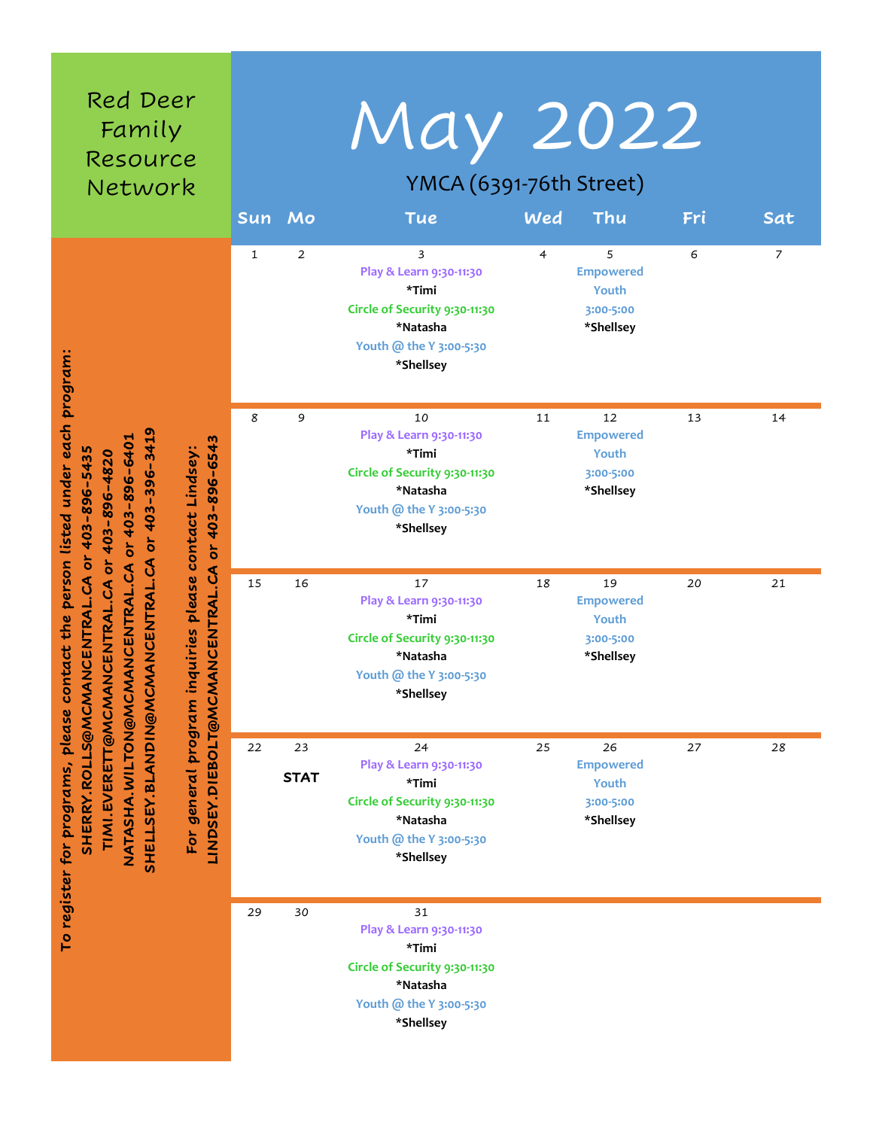| Red Deer<br>Family<br>Resource<br>Network                                                                                                                                                                                                                                                                                                                                                                                                                                    |              | Sun Mo            | May 2022<br>YMCA (6391-76th Street)<br><b>Tue</b>                                                                           | Wed            | Thu                                                       | Fri | Sat |
|------------------------------------------------------------------------------------------------------------------------------------------------------------------------------------------------------------------------------------------------------------------------------------------------------------------------------------------------------------------------------------------------------------------------------------------------------------------------------|--------------|-------------------|-----------------------------------------------------------------------------------------------------------------------------|----------------|-----------------------------------------------------------|-----|-----|
| contact the person listed under each program:<br>or 403-396-3419<br>NATASHA.WILTON@MCMANCENTRAL.CA or 403-896-6401<br>m<br>$-654.$<br>VANCENTRAL.CA or 403-896-5435<br>inquiries please contact Lindsey:<br>or 403-896-4820<br>or 403-896<br>CMANCENTRAL.CA<br>LINDSEY.DIEBOLT@MCMANCENTRAL.CA<br>TIMI.EVERETT@MCMANCENTRAL.CA<br><b>SHELLSEY.BLANDIN@M</b><br>For general program<br><b>SHERRY.ROLLS@MCM</b><br>please<br>register for programs,<br>$\overline{\mathsf{C}}$ | $\mathbf{1}$ | $\overline{2}$    | 3<br>Play & Learn 9:30-11:30<br>*Timi<br>Circle of Security 9:30-11:30<br>*Natasha<br>Youth @ the Y 3:00-5:30<br>*Shellsey  | $\overline{4}$ | 5<br><b>Empowered</b><br>Youth<br>3:00-5:00<br>*Shellsey  | 6   | 7   |
|                                                                                                                                                                                                                                                                                                                                                                                                                                                                              | 8            | 9                 | 10<br>Play & Learn 9:30-11:30<br>*Timi<br>Circle of Security 9:30-11:30<br>*Natasha<br>Youth @ the Y 3:00-5:30<br>*Shellsey | 11             | 12<br><b>Empowered</b><br>Youth<br>3:00-5:00<br>*Shellsey | 13  | 14  |
|                                                                                                                                                                                                                                                                                                                                                                                                                                                                              | 15           | 16                | 17<br>Play & Learn 9:30-11:30<br>*Timi<br>Circle of Security 9:30-11:30<br>*Natasha<br>Youth @ the Y 3:00-5:30<br>*Shellsey | 18             | 19<br><b>Empowered</b><br>Youth<br>3:00-5:00<br>*Shellsey | 20  | 21  |
|                                                                                                                                                                                                                                                                                                                                                                                                                                                                              | 22           | 23<br><b>STAT</b> | 24<br>Play & Learn 9:30-11:30<br>*Timi<br>Circle of Security 9:30-11:30<br>*Natasha<br>Youth @ the Y 3:00-5:30<br>*Shellsey | 25             | 26<br><b>Empowered</b><br>Youth<br>3:00-5:00<br>*Shellsey | 27  | 28  |
|                                                                                                                                                                                                                                                                                                                                                                                                                                                                              | 29           | 30                | 31<br>Play & Learn 9:30-11:30<br>*Timi<br>Circle of Security 9:30-11:30<br>*Natasha<br>Youth @ the Y 3:00-5:30<br>*Shellsey |                |                                                           |     |     |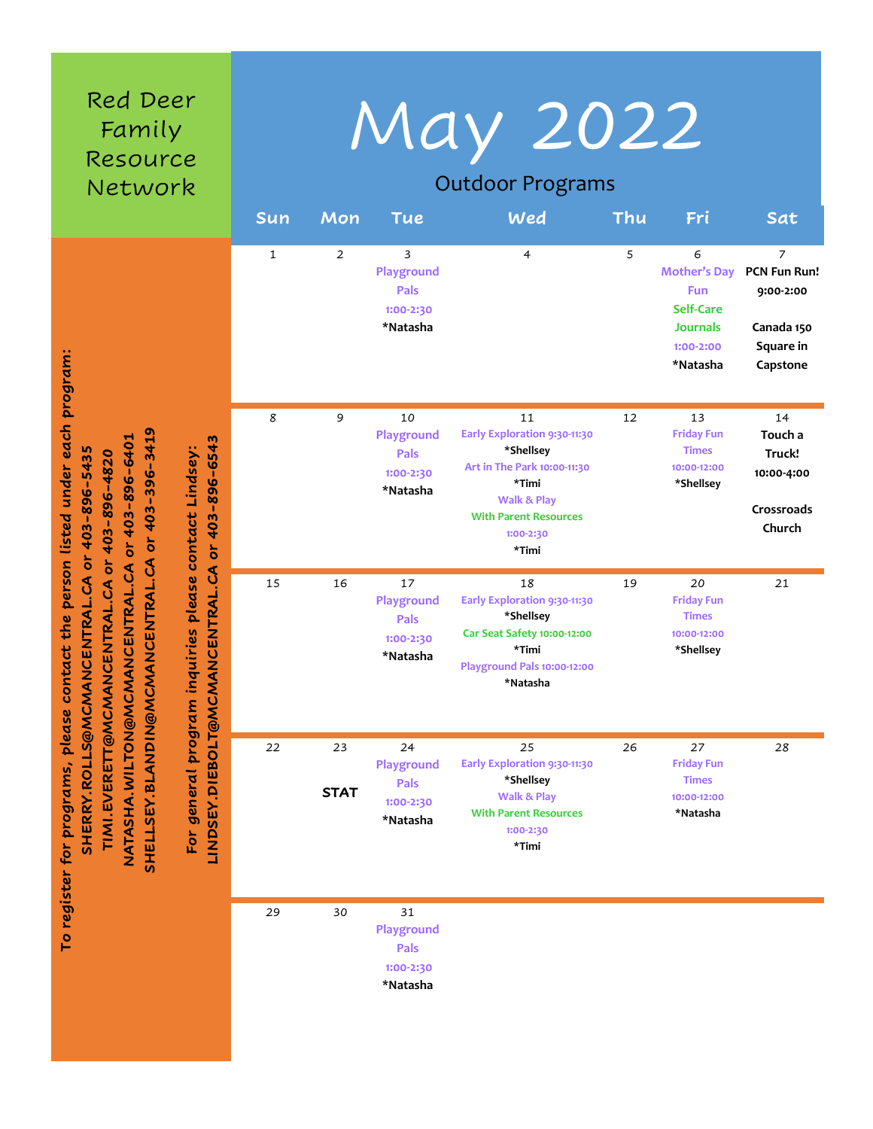| Red Deer<br>Family<br>Resource<br>Network                                                                                                                                                                                                                                                                                                                                                                                                             | Sun         | May 2022<br><b>Outdoor Programs</b><br>Wed<br>Thu<br>Mon<br>Fri<br>Sat<br><b>Tue</b> |                                                          |                                                                                                                                                                         |    |                                                                                                        |                                                                                    |  |
|-------------------------------------------------------------------------------------------------------------------------------------------------------------------------------------------------------------------------------------------------------------------------------------------------------------------------------------------------------------------------------------------------------------------------------------------------------|-------------|--------------------------------------------------------------------------------------|----------------------------------------------------------|-------------------------------------------------------------------------------------------------------------------------------------------------------------------------|----|--------------------------------------------------------------------------------------------------------|------------------------------------------------------------------------------------|--|
| contact the person listed under each program:<br>or 403-396-3419<br>or 403-896-6401<br>or 403-896-6543<br>inquiries please contact Lindsey:<br>VANCENTRAL.CA or 403-896-5435<br>403-896-4820<br>$\delta$<br>CMANCENTRAL.CA<br>NATASHA.WILTON@MCMANCENTRAL.CA<br>LINDSEY.DIEBOLT@MCMANCENTRAL.CA<br>TIMI.EVERETT@MCMANCENTRAL.CA<br><b>SHELLSEY.BLANDIN@M</b><br>For general program<br><b>SHERRY.ROLLS@MCM</b><br>please<br>To register for programs, | $\mathbf 1$ | $\overline{2}$                                                                       | 3<br>Playground<br>Pals<br>1:00-2:30<br>*Natasha         | $\overline{4}$                                                                                                                                                          | 5  | 6<br><b>Mother's Day</b><br><b>Fun</b><br><b>Self-Care</b><br><b>Journals</b><br>1:00-2:00<br>*Natasha | $\overline{7}$<br>PCN Fun Run!<br>9:00-2:00<br>Canada 150<br>Square in<br>Capstone |  |
|                                                                                                                                                                                                                                                                                                                                                                                                                                                       | 8           | 9                                                                                    | 10<br>Playground<br><b>Pals</b><br>1:00-2:30<br>*Natasha | 11<br>Early Exploration 9:30-11:30<br>*Shellsey<br>Art in The Park 10:00-11:30<br>*Timi<br><b>Walk &amp; Play</b><br><b>With Parent Resources</b><br>1:00-2:30<br>*Timi | 12 | 13<br><b>Friday Fun</b><br><b>Times</b><br>10:00-12:00<br>*Shellsey                                    | 14<br>Touch a<br>Truck!<br>10:00-4:00<br>Crossroads<br>Church                      |  |
|                                                                                                                                                                                                                                                                                                                                                                                                                                                       | 15          | 16                                                                                   | 17<br>Playground<br><b>Pals</b><br>1:00-2:30<br>*Natasha | 18<br>Early Exploration 9:30-11:30<br>*Shellsey<br>Car Seat Safety 10:00-12:00<br>*Timi<br>Playground Pals 10:00-12:00<br>*Natasha                                      | 19 | 20<br><b>Friday Fun</b><br><b>Times</b><br>10:00-12:00<br>*Shellsey                                    | 21                                                                                 |  |
|                                                                                                                                                                                                                                                                                                                                                                                                                                                       | 22          | 23<br><b>STAT</b>                                                                    | 24<br>Playground<br>Pals<br>1:00-2:30<br>*Natasha        | 25<br>Early Exploration 9:30-11:30<br>*Shellsey<br><b>Walk &amp; Play</b><br><b>With Parent Resources</b><br>1:00-2:30<br>*Timi                                         | 26 | 27<br><b>Friday Fun</b><br><b>Times</b><br>10:00-12:00<br>*Natasha                                     | 28                                                                                 |  |
|                                                                                                                                                                                                                                                                                                                                                                                                                                                       | 29          | 30                                                                                   | 31<br>Playground<br>Pals<br>1:00-2:30<br>*Natasha        |                                                                                                                                                                         |    |                                                                                                        |                                                                                    |  |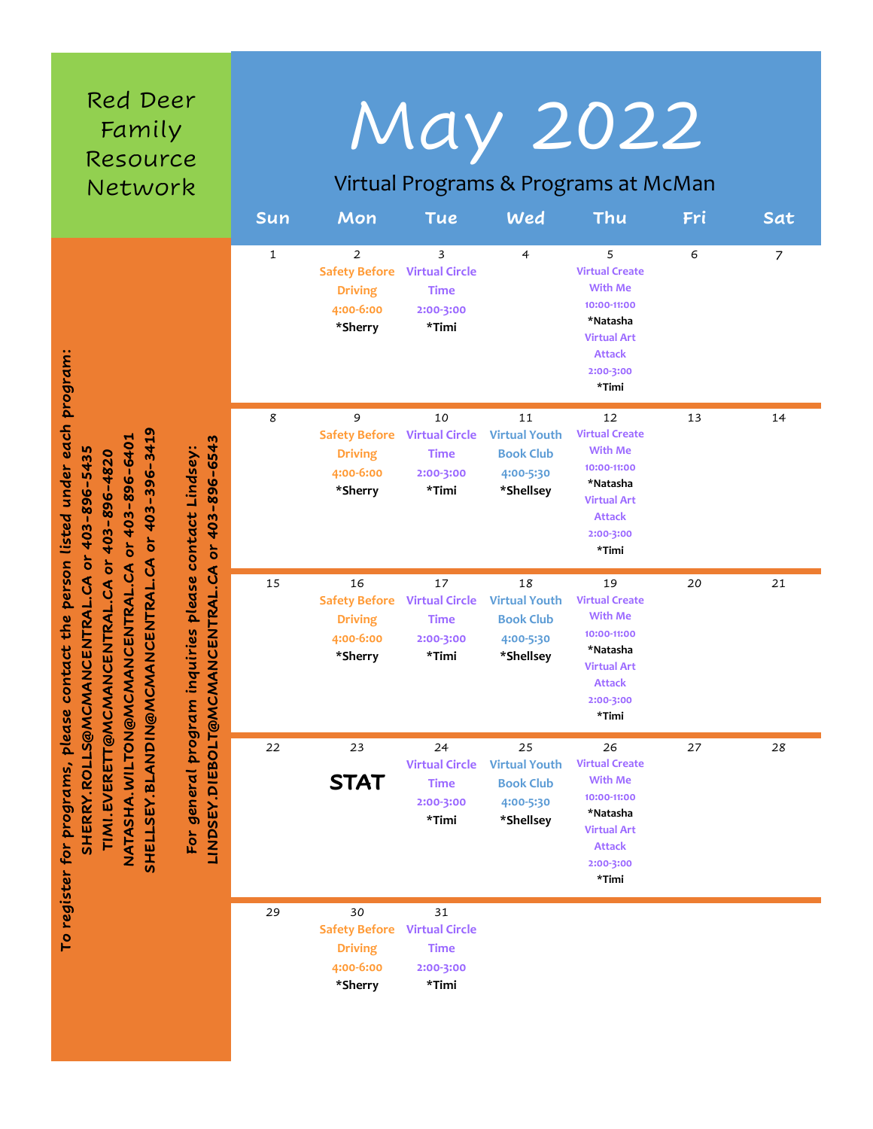| Red Deer<br>Family<br>Resource<br>Network                                                                                                                                                                                                                                                                                                                                                                                        | Sun          | Mon                                                                                | <b>Tue</b>                                                       | Wed                                                                      | May 2022<br>Virtual Programs & Programs at McMan<br>Thu                                                                               | Fri | Sat |
|----------------------------------------------------------------------------------------------------------------------------------------------------------------------------------------------------------------------------------------------------------------------------------------------------------------------------------------------------------------------------------------------------------------------------------|--------------|------------------------------------------------------------------------------------|------------------------------------------------------------------|--------------------------------------------------------------------------|---------------------------------------------------------------------------------------------------------------------------------------|-----|-----|
| contact the person listed under each program:<br>or 403-396-3419<br>or 403-896-6401<br>or 403-896-6543<br>inquiries please contact Lindsey:<br>SHERRY.ROLLS@MCMANCENTRAL.CA or 403-896-5435<br>or 403-896-4820<br>CMANCENTRAL.CA<br>NATASHA.WILTON@MCMANCENTRAL.CA<br>LINDSEY.DIEBOLT@MCMANCENTRAL.CA<br>TIMI.EVERETT@MCMANCENTRAL.CA<br>general program<br><b>SHELLSEY.BLANDIN@M</b><br>please<br>register for programs,<br>For | $\mathbf{1}$ | $\overline{2}$<br><b>Safety Before</b><br><b>Driving</b><br>4:00-6:00<br>*Sherry   | 3<br><b>Virtual Circle</b><br>Time<br>2:00-3:00<br>*Timi         | $\overline{4}$                                                           | 5<br><b>Virtual Create</b><br><b>With Me</b><br>10:00-11:00<br>*Natasha<br><b>Virtual Art</b><br><b>Attack</b><br>2:00-3:00<br>*Timi  | 6   | 7   |
|                                                                                                                                                                                                                                                                                                                                                                                                                                  | 8            | 9<br><b>Safety Before</b> Virtual Circle<br><b>Driving</b><br>4:00-6:00<br>*Sherry | 10<br><b>Time</b><br>2:00-3:00<br>*Timi                          | 11<br><b>Virtual Youth</b><br><b>Book Club</b><br>4:00-5:30<br>*Shellsey | 12<br><b>Virtual Create</b><br><b>With Me</b><br>10:00-11:00<br>*Natasha<br><b>Virtual Art</b><br><b>Attack</b><br>2:00-3:00<br>*Timi | 13  | 14  |
|                                                                                                                                                                                                                                                                                                                                                                                                                                  | 15           | 16<br><b>Safety Before</b><br><b>Driving</b><br>4:00-6:00<br>*Sherry               | 17<br><b>Virtual Circle</b><br>Time<br>2:00-3:00<br>*Timi        | 18<br><b>Virtual Youth</b><br><b>Book Club</b><br>4:00-5:30<br>*Shellsey | 19<br><b>Virtual Create</b><br><b>With Me</b><br>10:00-11:00<br>*Natasha<br><b>Virtual Art</b><br><b>Attack</b><br>2:00-3:00<br>*Timi | 20  | 21  |
|                                                                                                                                                                                                                                                                                                                                                                                                                                  | 22           | 23<br><b>STAT</b>                                                                  | 24<br><b>Virtual Circle</b><br><b>Time</b><br>2:00-3:00<br>*Timi | 25<br><b>Virtual Youth</b><br><b>Book Club</b><br>4:00-5:30<br>*Shellsey | 26<br><b>Virtual Create</b><br><b>With Me</b><br>10:00-11:00<br>*Natasha<br><b>Virtual Art</b><br><b>Attack</b><br>2:00-3:00<br>*Timi | 27  | 28  |
| <b>P</b>                                                                                                                                                                                                                                                                                                                                                                                                                         | 29           | 30<br><b>Safety Before</b><br><b>Driving</b><br>4:00-6:00<br>*Sherry               | 31<br><b>Virtual Circle</b><br><b>Time</b><br>2:00-3:00<br>*Timi |                                                                          |                                                                                                                                       |     |     |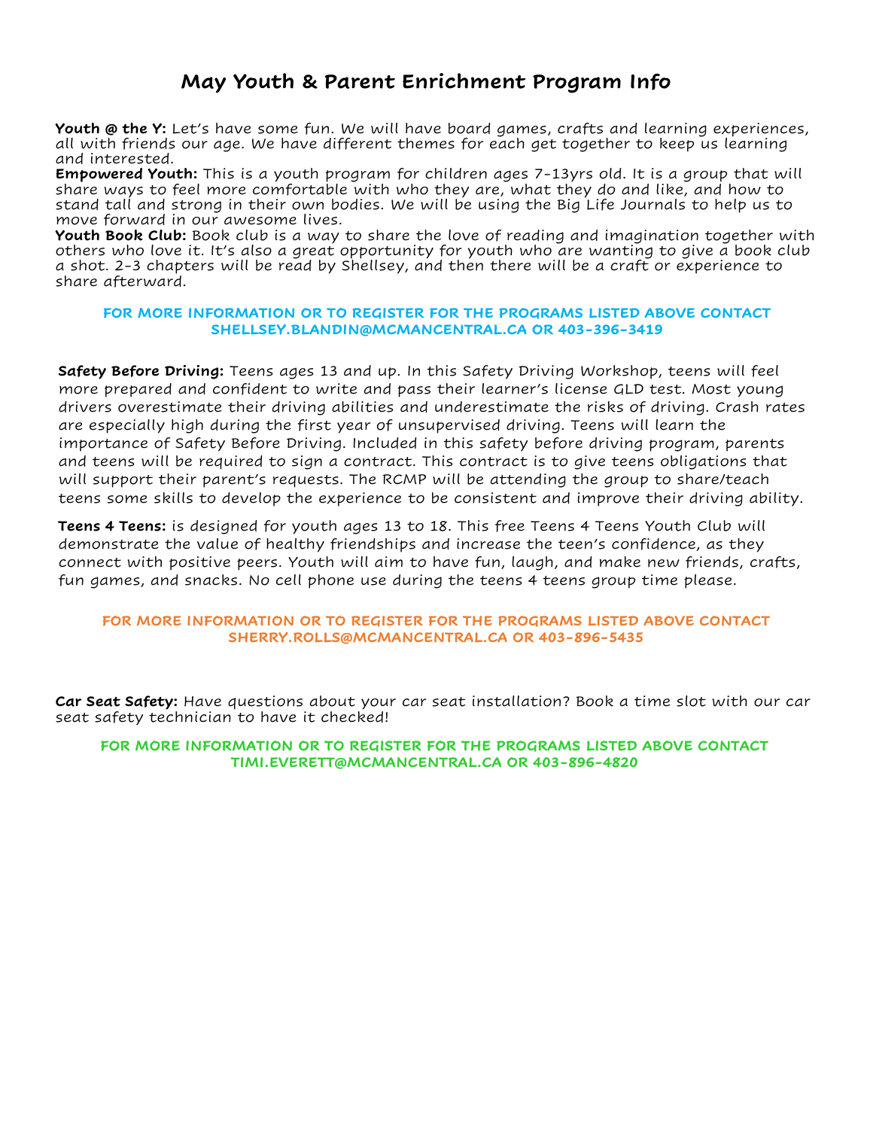# **May Youth & Parent Enrichment Program Info**

**Youth @ the Y:** Let's have some fun. We will have board games, crafts and learning experiences, all with friends our age. We have different themes for each get together to keep us learning and interested.

**Empowered Youth:** This is a youth program for children ages 7-13yrs old. It is a group that will share ways to feel more comfortable with who they are, what they do and like, and how to stand tall and strong in their own bodies. We will be using the Big Life Journals to help us to move forward in our awesome lives.

**Youth Book Club:** Book club is a way to share the love of reading and imagination together with others who love it. It's also a great opportunity for youth who are wanting to give a book club a shot. 2-3 chapters will be read by Shellsey, and then there will be a craft or experience to share afterward.

### **FOR MORE INFORMATION OR TO REGISTER FOR THE PROGRAMS LISTED ABOVE CONTACT SHELLSEY.BLANDIN@MCMANCENTRAL.CA OR 403-396-3419**

**Safety Before Driving:** Teens ages 13 and up. In this Safety Driving Workshop, teens will feel more prepared and confident to write and pass their learner's license GLD test. Most young drivers overestimate their driving abilities and underestimate the risks of driving. Crash rates are especially high during the first year of unsupervised driving. Teens will learn the importance of Safety Before Driving. Included in this safety before driving program, parents and teens will be required to sign a contract. This contract is to give teens obligations that will support their parent's requests. The RCMP will be attending the group to share/teach teens some skills to develop the experience to be consistent and improve their driving ability.

**Teens 4 Teens:** is designed for youth ages 13 to 18. This free Teens 4 Teens Youth Club will demonstrate the value of healthy friendships and increase the teen's confidence, as they connect with positive peers. Youth will aim to have fun, laugh, and make new friends, crafts, fun games, and snacks. No cell phone use during the teens 4 teens group time please.

### **FOR MORE INFORMATION OR TO REGISTER FOR THE PROGRAMS LISTED ABOVE CONTACT SHERRY.ROLLS@MCMANCENTRAL.CA OR 403-896-5435**

**Car Seat Safety:** Have questions about your car seat installation? Book a time slot with our car seat safety technician to have it checked!

#### **FOR MORE INFORMATION OR TO REGISTER FOR THE PROGRAMS LISTED ABOVE CONTACT TIMI.EVERETT@MCMANCENTRAL.CA OR 403-896-4820**